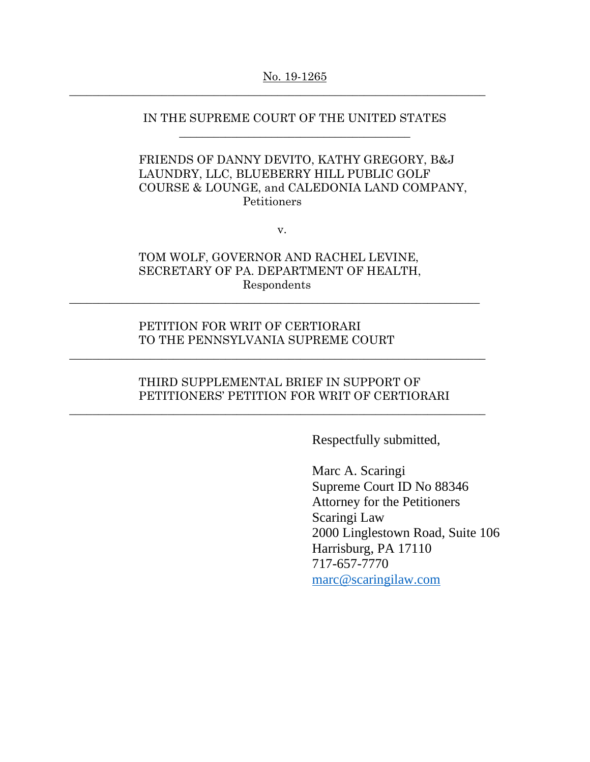#### No. 19-1265

 $\_$  , and the set of the set of the set of the set of the set of the set of the set of the set of the set of the set of the set of the set of the set of the set of the set of the set of the set of the set of the set of th

## IN THE SUPREME COURT OF THE UNITED STATES \_\_\_\_\_\_\_\_\_\_\_\_\_\_\_\_\_\_\_\_\_\_\_\_\_\_\_\_\_\_\_\_\_\_\_\_\_\_\_\_

# FRIENDS OF DANNY DEVITO, KATHY GREGORY, B&J LAUNDRY, LLC, BLUEBERRY HILL PUBLIC GOLF COURSE & LOUNGE, and CALEDONIA LAND COMPANY, Petitioners

v.

## TOM WOLF, GOVERNOR AND RACHEL LEVINE, SECRETARY OF PA. DEPARTMENT OF HEALTH, Respondents

 $\_$  , and the set of the set of the set of the set of the set of the set of the set of the set of the set of the set of the set of the set of the set of the set of the set of the set of the set of the set of the set of th

 $\_$  , and the set of the set of the set of the set of the set of the set of the set of the set of the set of the set of the set of the set of the set of the set of the set of the set of the set of the set of the set of th

 $\_$  , and the set of the set of the set of the set of the set of the set of the set of the set of the set of the set of the set of the set of the set of the set of the set of the set of the set of the set of the set of th

### PETITION FOR WRIT OF CERTIORARI TO THE PENNSYLVANIA SUPREME COURT

## THIRD SUPPLEMENTAL BRIEF IN SUPPORT OF PETITIONERS' PETITION FOR WRIT OF CERTIORARI

Respectfully submitted,

Marc A. Scaringi Supreme Court ID No 88346 Attorney for the Petitioners Scaringi Law 2000 Linglestown Road, Suite 106 Harrisburg, PA 17110 717-657-7770 [marc@scaringilaw.com](mailto:marc@scaringilaw.com)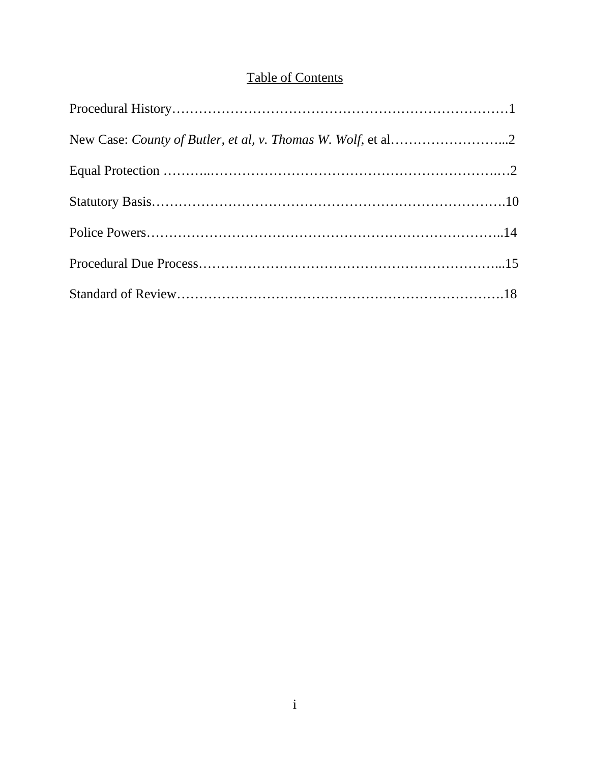# Table of Contents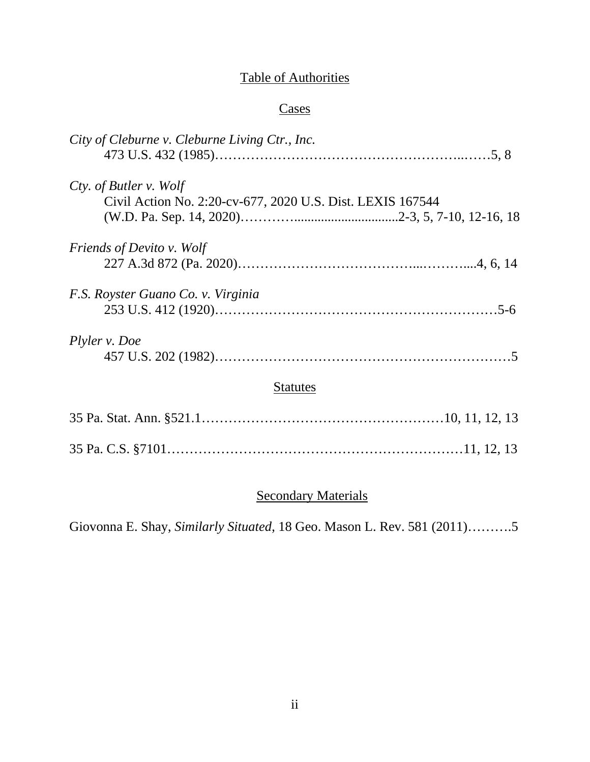# Table of Authorities

# **Cases**

| City of Cleburne v. Cleburne Living Ctr., Inc.                                       |
|--------------------------------------------------------------------------------------|
| Cty. of Butler v. Wolf<br>Civil Action No. 2:20-cv-677, 2020 U.S. Dist. LEXIS 167544 |
| <i>Friends of Devito v. Wolf</i>                                                     |
| F.S. Royster Guano Co. v. Virginia                                                   |
| Plyler v. Doe                                                                        |
| <b>Statutes</b>                                                                      |
|                                                                                      |
|                                                                                      |

# **Secondary Materials**

Giovonna E. Shay, *Similarly Situated*, 18 Geo. Mason L. Rev. 581 (2011)……….5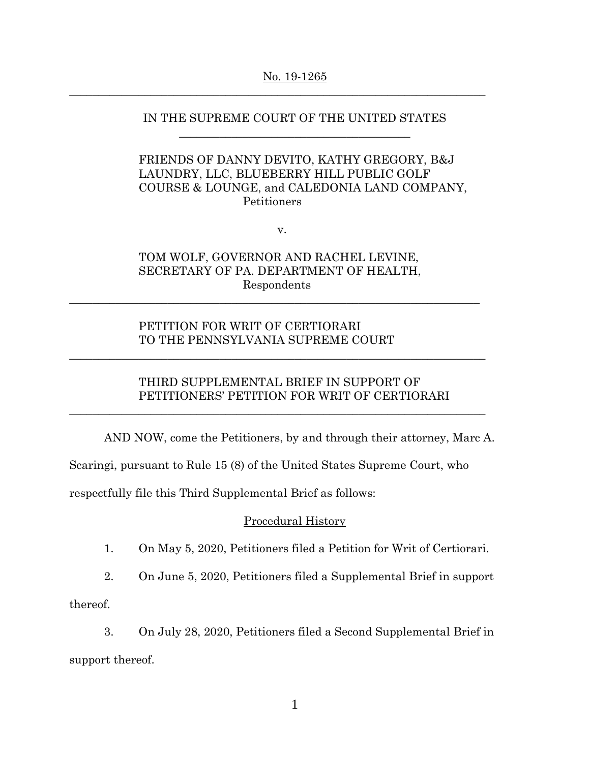#### No. 19-1265

 $\_$  , and the set of the set of the set of the set of the set of the set of the set of the set of the set of the set of the set of the set of the set of the set of the set of the set of the set of the set of the set of th

### IN THE SUPREME COURT OF THE UNITED STATES \_\_\_\_\_\_\_\_\_\_\_\_\_\_\_\_\_\_\_\_\_\_\_\_\_\_\_\_\_\_\_\_\_\_\_\_\_\_\_\_

## FRIENDS OF DANNY DEVITO, KATHY GREGORY, B&J LAUNDRY, LLC, BLUEBERRY HILL PUBLIC GOLF COURSE & LOUNGE, and CALEDONIA LAND COMPANY, Petitioners

v.

# TOM WOLF, GOVERNOR AND RACHEL LEVINE, SECRETARY OF PA. DEPARTMENT OF HEALTH, Respondents

 $\_$  , and the set of the set of the set of the set of the set of the set of the set of the set of the set of the set of the set of the set of the set of the set of the set of the set of the set of the set of the set of th

 $\_$  , and the set of the set of the set of the set of the set of the set of the set of the set of the set of the set of the set of the set of the set of the set of the set of the set of the set of the set of the set of th

 $\_$  , and the set of the set of the set of the set of the set of the set of the set of the set of the set of the set of the set of the set of the set of the set of the set of the set of the set of the set of the set of th

## PETITION FOR WRIT OF CERTIORARI TO THE PENNSYLVANIA SUPREME COURT

# THIRD SUPPLEMENTAL BRIEF IN SUPPORT OF PETITIONERS' PETITION FOR WRIT OF CERTIORARI

AND NOW, come the Petitioners, by and through their attorney, Marc A.

Scaringi, pursuant to Rule 15 (8) of the United States Supreme Court, who

respectfully file this Third Supplemental Brief as follows:

### Procedural History

- 1. On May 5, 2020, Petitioners filed a Petition for Writ of Certiorari.
- 2. On June 5, 2020, Petitioners filed a Supplemental Brief in support

thereof.

3. On July 28, 2020, Petitioners filed a Second Supplemental Brief in support thereof.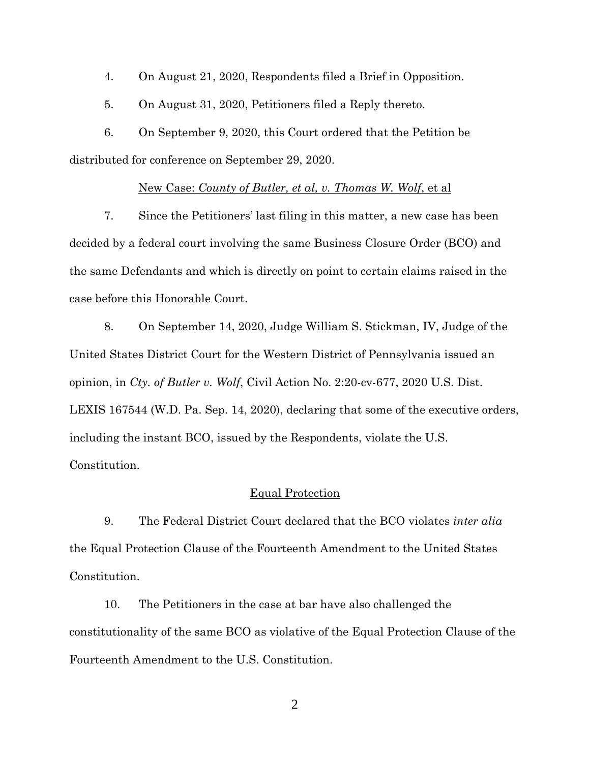4. On August 21, 2020, Respondents filed a Brief in Opposition.

5. On August 31, 2020, Petitioners filed a Reply thereto.

6. On September 9, 2020, this Court ordered that the Petition be distributed for conference on September 29, 2020.

#### New Case: *County of Butler, et al, v. Thomas W. Wolf*, et al

7. Since the Petitioners' last filing in this matter, a new case has been decided by a federal court involving the same Business Closure Order (BCO) and the same Defendants and which is directly on point to certain claims raised in the case before this Honorable Court.

8. On September 14, 2020, Judge William S. Stickman, IV, Judge of the United States District Court for the Western District of Pennsylvania issued an opinion, in *Cty. of Butler v. Wolf*, Civil Action No. 2:20-cv-677, 2020 U.S. Dist. LEXIS 167544 (W.D. Pa. Sep. 14, 2020), declaring that some of the executive orders, including the instant BCO, issued by the Respondents, violate the U.S. Constitution.

### Equal Protection

9. The Federal District Court declared that the BCO violates *inter alia*  the Equal Protection Clause of the Fourteenth Amendment to the United States Constitution.

10. The Petitioners in the case at bar have also challenged the constitutionality of the same BCO as violative of the Equal Protection Clause of the Fourteenth Amendment to the U.S. Constitution.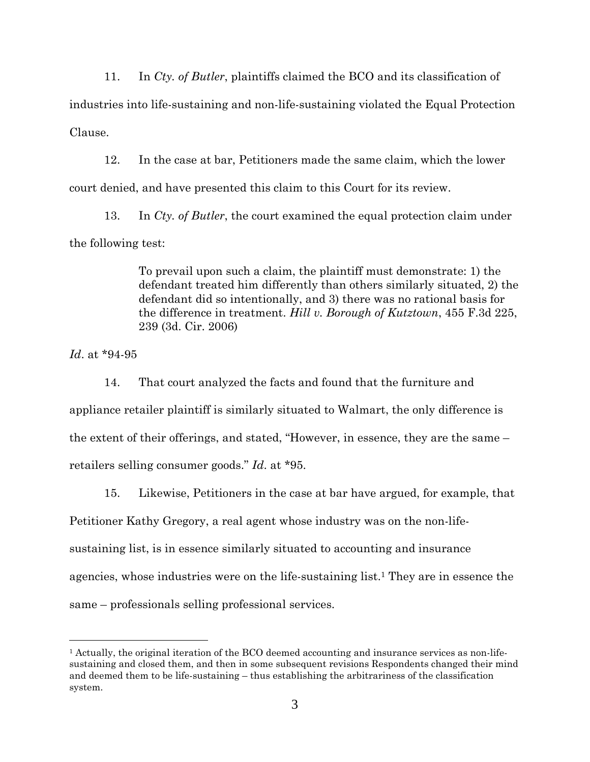11. In *Cty. of Butler*, plaintiffs claimed the BCO and its classification of industries into life-sustaining and non-life-sustaining violated the Equal Protection Clause.

12. In the case at bar, Petitioners made the same claim, which the lower court denied, and have presented this claim to this Court for its review.

13. In *Cty. of Butler*, the court examined the equal protection claim under the following test:

> To prevail upon such a claim, the plaintiff must demonstrate: 1) the defendant treated him differently than others similarly situated, 2) the defendant did so intentionally, and 3) there was no rational basis for the difference in treatment. *Hill v. Borough of Kutztown*, 455 F.3d 225, 239 (3d. Cir. 2006)

*Id*. at \*94-95

14. That court analyzed the facts and found that the furniture and appliance retailer plaintiff is similarly situated to Walmart, the only difference is the extent of their offerings, and stated, "However, in essence, they are the same – retailers selling consumer goods." *Id*. at \*95.

15. Likewise, Petitioners in the case at bar have argued, for example, that

Petitioner Kathy Gregory, a real agent whose industry was on the non-life-

sustaining list, is in essence similarly situated to accounting and insurance

agencies, whose industries were on the life-sustaining list.1 They are in essence the

same – professionals selling professional services.

<sup>1</sup> Actually, the original iteration of the BCO deemed accounting and insurance services as non-lifesustaining and closed them, and then in some subsequent revisions Respondents changed their mind and deemed them to be life-sustaining – thus establishing the arbitrariness of the classification system.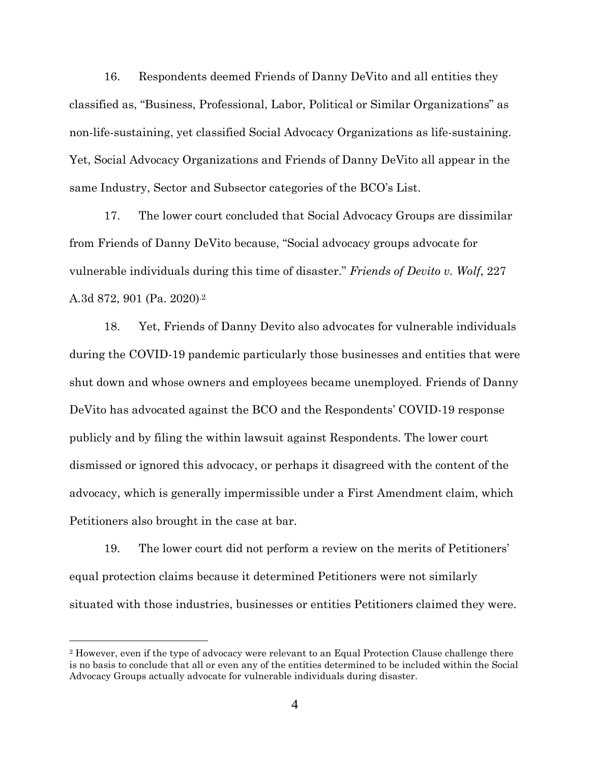16. Respondents deemed Friends of Danny DeVito and all entities they classified as, "Business, Professional, Labor, Political or Similar Organizations" as non-life-sustaining, yet classified Social Advocacy Organizations as life-sustaining. Yet, Social Advocacy Organizations and Friends of Danny DeVito all appear in the same Industry, Sector and Subsector categories of the BCO's List.

17. The lower court concluded that Social Advocacy Groups are dissimilar from Friends of Danny DeVito because, "Social advocacy groups advocate for vulnerable individuals during this time of disaster." *Friends of Devito v. Wolf*, 227 A.3d 872, 901 (Pa. 2020).2

18. Yet, Friends of Danny Devito also advocates for vulnerable individuals during the COVID-19 pandemic particularly those businesses and entities that were shut down and whose owners and employees became unemployed. Friends of Danny DeVito has advocated against the BCO and the Respondents' COVID-19 response publicly and by filing the within lawsuit against Respondents. The lower court dismissed or ignored this advocacy, or perhaps it disagreed with the content of the advocacy, which is generally impermissible under a First Amendment claim, which Petitioners also brought in the case at bar.

19. The lower court did not perform a review on the merits of Petitioners' equal protection claims because it determined Petitioners were not similarly situated with those industries, businesses or entities Petitioners claimed they were.

<sup>2</sup> However, even if the type of advocacy were relevant to an Equal Protection Clause challenge there is no basis to conclude that all or even any of the entities determined to be included within the Social Advocacy Groups actually advocate for vulnerable individuals during disaster.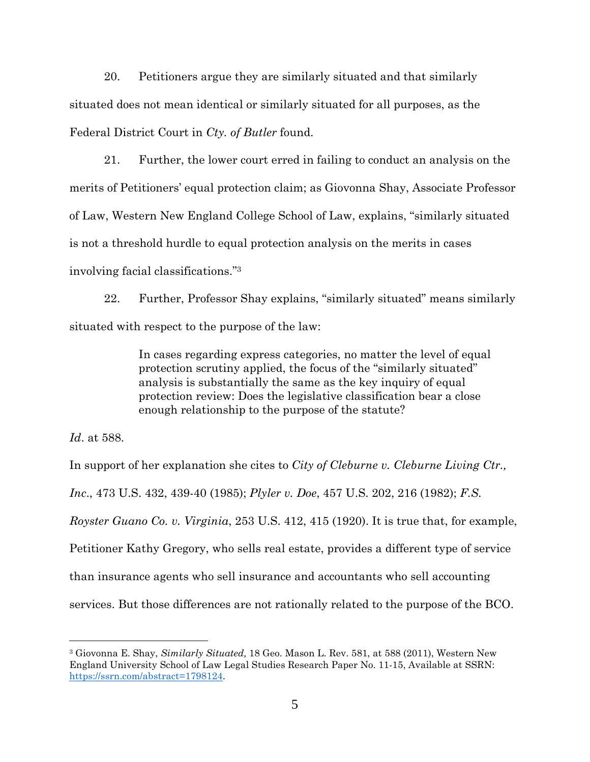20. Petitioners argue they are similarly situated and that similarly situated does not mean identical or similarly situated for all purposes, as the Federal District Court in *Cty. of Butler* found.

21. Further, the lower court erred in failing to conduct an analysis on the merits of Petitioners' equal protection claim; as Giovonna Shay, Associate Professor of Law, Western New England College School of Law, explains, "similarly situated is not a threshold hurdle to equal protection analysis on the merits in cases involving facial classifications."<sup>3</sup>

22. Further, Professor Shay explains, "similarly situated" means similarly situated with respect to the purpose of the law:

> In cases regarding express categories, no matter the level of equal protection scrutiny applied, the focus of the "similarly situated" analysis is substantially the same as the key inquiry of equal protection review: Does the legislative classification bear a close enough relationship to the purpose of the statute?

*Id*. at 588.

In support of her explanation she cites to *City of Cleburne v. Cleburne Living Ctr., Inc*., 473 U.S. 432, 439-40 (1985); *Plyler v. Doe*, 457 U.S. 202, 216 (1982); *F.S. Royster Guano Co. v. Virginia*, 253 U.S. 412, 415 (1920). It is true that, for example, Petitioner Kathy Gregory, who sells real estate, provides a different type of service than insurance agents who sell insurance and accountants who sell accounting services. But those differences are not rationally related to the purpose of the BCO.

<sup>3</sup> Giovonna E. Shay, *Similarly Situated,* 18 Geo. Mason L. Rev. 581, at 588 (2011), Western New England University School of Law Legal Studies Research Paper No. 11-15, Available at SSRN: https://ssrn.com/abstract=1798124.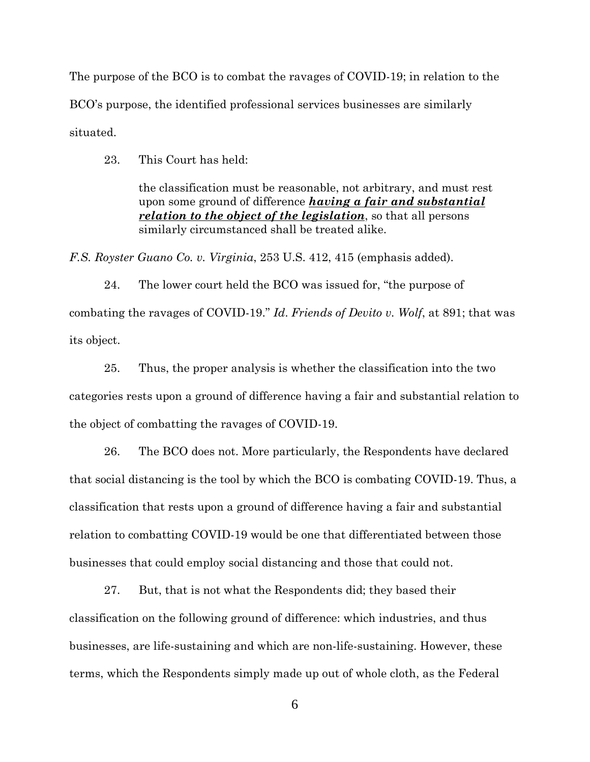The purpose of the BCO is to combat the ravages of COVID-19; in relation to the BCO's purpose, the identified professional services businesses are similarly situated.

23. This Court has held:

the classification must be reasonable, not arbitrary, and must rest upon some ground of difference *having a fair and substantial relation to the object of the legislation*, so that all persons similarly circumstanced shall be treated alike.

*F.S. Royster Guano Co. v. Virginia*, 253 U.S. 412, 415 (emphasis added).

24. The lower court held the BCO was issued for, "the purpose of combating the ravages of COVID-19." *Id*. *Friends of Devito v. Wolf*, at 891; that was its object.

25. Thus, the proper analysis is whether the classification into the two categories rests upon a ground of difference having a fair and substantial relation to the object of combatting the ravages of COVID-19.

26. The BCO does not. More particularly, the Respondents have declared that social distancing is the tool by which the BCO is combating COVID-19. Thus, a classification that rests upon a ground of difference having a fair and substantial relation to combatting COVID-19 would be one that differentiated between those businesses that could employ social distancing and those that could not.

27. But, that is not what the Respondents did; they based their classification on the following ground of difference: which industries, and thus businesses, are life-sustaining and which are non-life-sustaining. However, these terms, which the Respondents simply made up out of whole cloth, as the Federal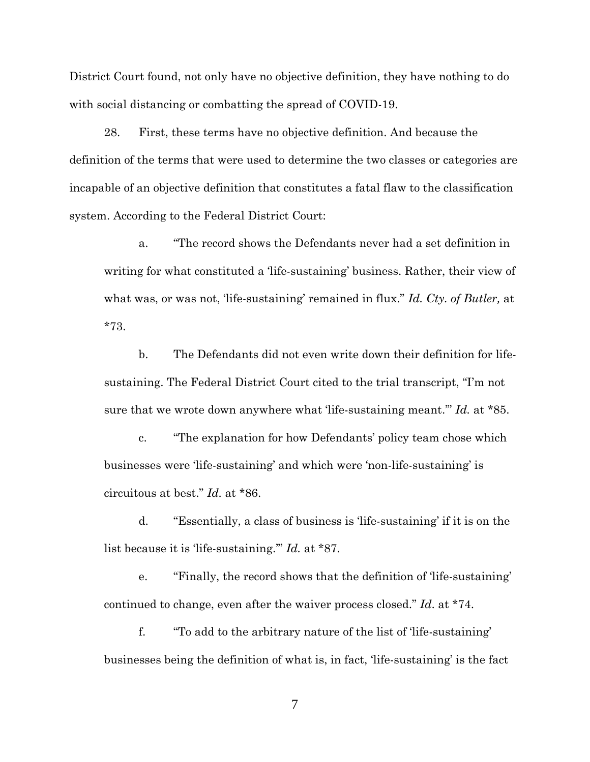District Court found, not only have no objective definition, they have nothing to do with social distancing or combatting the spread of COVID-19.

28. First, these terms have no objective definition. And because the definition of the terms that were used to determine the two classes or categories are incapable of an objective definition that constitutes a fatal flaw to the classification system. According to the Federal District Court:

a. "The record shows the Defendants never had a set definition in writing for what constituted a 'life-sustaining' business. Rather, their view of what was, or was not, 'life-sustaining' remained in flux." *Id. Cty. of Butler,* at \*73.

b. The Defendants did not even write down their definition for lifesustaining. The Federal District Court cited to the trial transcript, "I'm not sure that we wrote down anywhere what 'life-sustaining meant.'" *Id.* at \*85.

c. "The explanation for how Defendants' policy team chose which businesses were 'life-sustaining' and which were 'non-life-sustaining' is circuitous at best." *Id.* at \*86.

d. "Essentially, a class of business is 'life-sustaining' if it is on the list because it is 'life-sustaining.'" *Id.* at \*87.

e. "Finally, the record shows that the definition of 'life-sustaining' continued to change, even after the waiver process closed." *Id*. at \*74.

f. "To add to the arbitrary nature of the list of 'life-sustaining' businesses being the definition of what is, in fact, 'life-sustaining' is the fact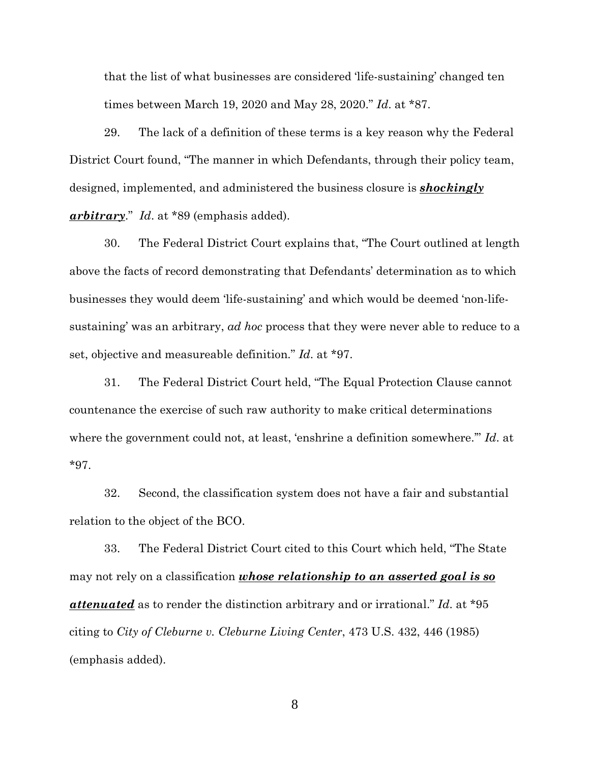that the list of what businesses are considered 'life-sustaining' changed ten times between March 19, 2020 and May 28, 2020." *Id*. at \*87.

29. The lack of a definition of these terms is a key reason why the Federal District Court found, "The manner in which Defendants, through their policy team, designed, implemented, and administered the business closure is *shockingly arbitrary*." *Id*. at \*89 (emphasis added).

30. The Federal District Court explains that, "The Court outlined at length above the facts of record demonstrating that Defendants' determination as to which businesses they would deem 'life-sustaining' and which would be deemed 'non-lifesustaining' was an arbitrary, *ad hoc* process that they were never able to reduce to a set, objective and measureable definition." *Id*. at \*97.

31. The Federal District Court held, "The Equal Protection Clause cannot countenance the exercise of such raw authority to make critical determinations where the government could not, at least, 'enshrine a definition somewhere.'" *Id*. at \*97.

32. Second, the classification system does not have a fair and substantial relation to the object of the BCO.

33. The Federal District Court cited to this Court which held, "The State may not rely on a classification *whose relationship to an asserted goal is so attenuated* as to render the distinction arbitrary and or irrational." *Id*. at \*95 citing to *City of Cleburne v. Cleburne Living Center*, 473 U.S. 432, 446 (1985) (emphasis added).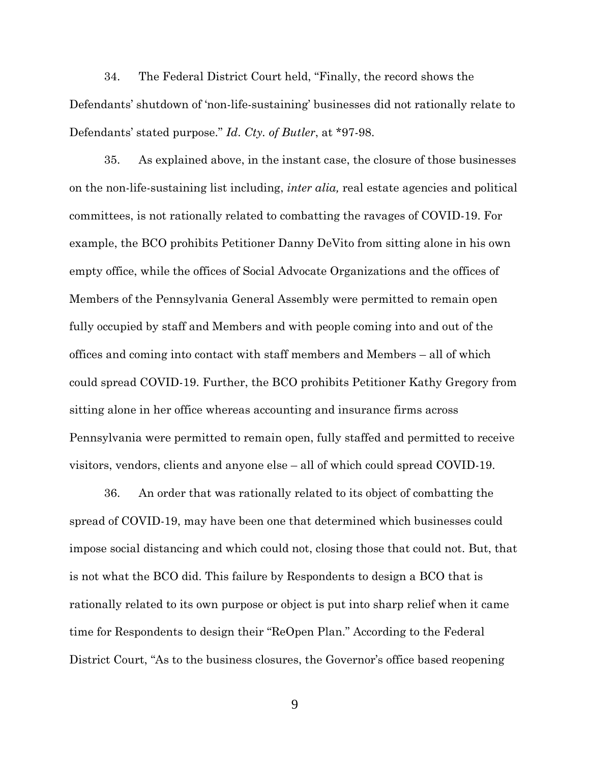34. The Federal District Court held, "Finally, the record shows the Defendants' shutdown of 'non-life-sustaining' businesses did not rationally relate to Defendants' stated purpose." *Id*. *Cty. of Butler*, at \*97-98.

35. As explained above, in the instant case, the closure of those businesses on the non-life-sustaining list including, *inter alia,* real estate agencies and political committees, is not rationally related to combatting the ravages of COVID-19. For example, the BCO prohibits Petitioner Danny DeVito from sitting alone in his own empty office, while the offices of Social Advocate Organizations and the offices of Members of the Pennsylvania General Assembly were permitted to remain open fully occupied by staff and Members and with people coming into and out of the offices and coming into contact with staff members and Members – all of which could spread COVID-19. Further, the BCO prohibits Petitioner Kathy Gregory from sitting alone in her office whereas accounting and insurance firms across Pennsylvania were permitted to remain open, fully staffed and permitted to receive visitors, vendors, clients and anyone else – all of which could spread COVID-19.

36. An order that was rationally related to its object of combatting the spread of COVID-19, may have been one that determined which businesses could impose social distancing and which could not, closing those that could not. But, that is not what the BCO did. This failure by Respondents to design a BCO that is rationally related to its own purpose or object is put into sharp relief when it came time for Respondents to design their "ReOpen Plan." According to the Federal District Court, "As to the business closures, the Governor's office based reopening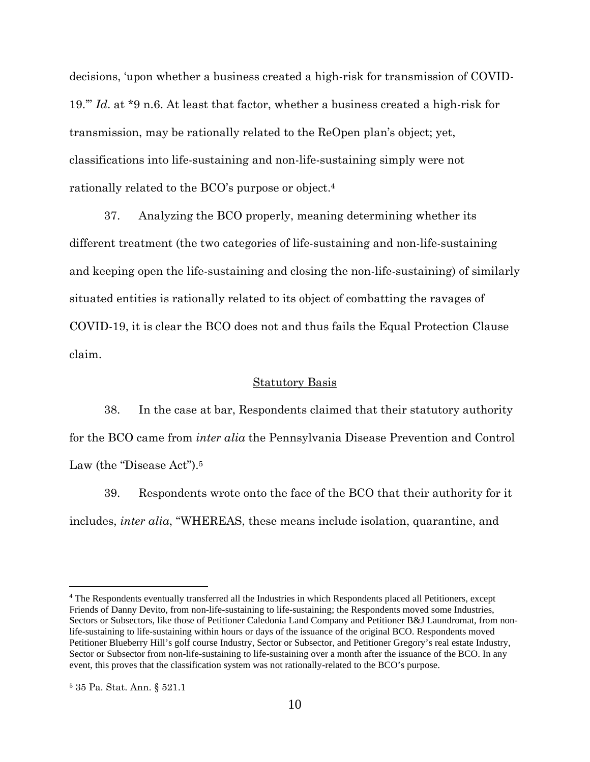decisions, 'upon whether a business created a high-risk for transmission of COVID-19.'" *Id*. at \*9 n.6. At least that factor, whether a business created a high-risk for transmission, may be rationally related to the ReOpen plan's object; yet, classifications into life-sustaining and non-life-sustaining simply were not rationally related to the BCO's purpose or object.<sup>4</sup>

37. Analyzing the BCO properly, meaning determining whether its different treatment (the two categories of life-sustaining and non-life-sustaining and keeping open the life-sustaining and closing the non-life-sustaining) of similarly situated entities is rationally related to its object of combatting the ravages of COVID-19, it is clear the BCO does not and thus fails the Equal Protection Clause claim.

#### Statutory Basis

38. In the case at bar, Respondents claimed that their statutory authority for the BCO came from *inter alia* the Pennsylvania Disease Prevention and Control Law (the "Disease Act").<sup>5</sup>

39. Respondents wrote onto the face of the BCO that their authority for it includes, *inter alia*, "WHEREAS, these means include isolation, quarantine, and

<sup>&</sup>lt;sup>4</sup> The Respondents eventually transferred all the Industries in which Respondents placed all Petitioners, except Friends of Danny Devito, from non-life-sustaining to life-sustaining; the Respondents moved some Industries, Sectors or Subsectors, like those of Petitioner Caledonia Land Company and Petitioner B&J Laundromat, from nonlife-sustaining to life-sustaining within hours or days of the issuance of the original BCO. Respondents moved Petitioner Blueberry Hill's golf course Industry, Sector or Subsector, and Petitioner Gregory's real estate Industry, Sector or Subsector from non-life-sustaining to life-sustaining over a month after the issuance of the BCO. In any event, this proves that the classification system was not rationally-related to the BCO's purpose.

<sup>5</sup> 35 Pa. Stat. Ann. § 521.1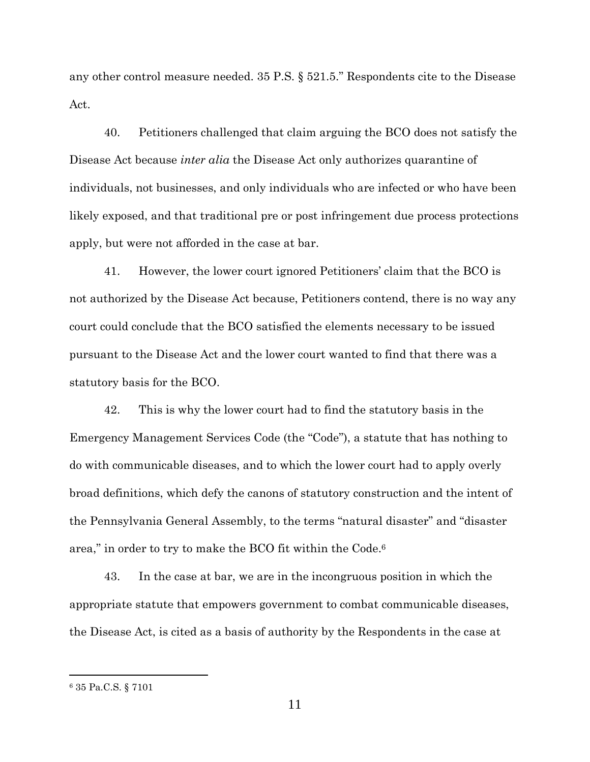any other control measure needed. 35 P.S. § 521.5." Respondents cite to the Disease Act.

40. Petitioners challenged that claim arguing the BCO does not satisfy the Disease Act because *inter alia* the Disease Act only authorizes quarantine of individuals, not businesses, and only individuals who are infected or who have been likely exposed, and that traditional pre or post infringement due process protections apply, but were not afforded in the case at bar.

41. However, the lower court ignored Petitioners' claim that the BCO is not authorized by the Disease Act because, Petitioners contend, there is no way any court could conclude that the BCO satisfied the elements necessary to be issued pursuant to the Disease Act and the lower court wanted to find that there was a statutory basis for the BCO.

42. This is why the lower court had to find the statutory basis in the Emergency Management Services Code (the "Code"), a statute that has nothing to do with communicable diseases, and to which the lower court had to apply overly broad definitions, which defy the canons of statutory construction and the intent of the Pennsylvania General Assembly, to the terms "natural disaster" and "disaster area," in order to try to make the BCO fit within the Code.<sup>6</sup>

43. In the case at bar, we are in the incongruous position in which the appropriate statute that empowers government to combat communicable diseases, the Disease Act, is cited as a basis of authority by the Respondents in the case at

<sup>6</sup> 35 Pa.C.S. § 7101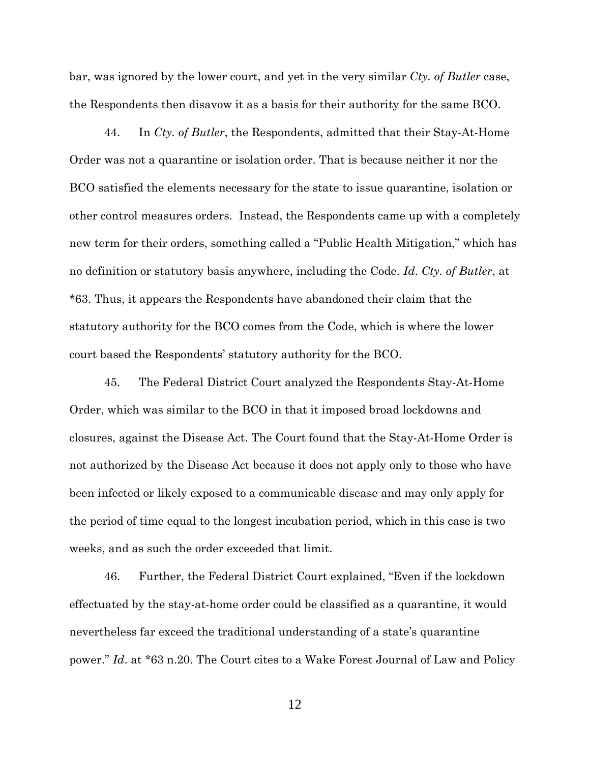bar, was ignored by the lower court, and yet in the very similar *Cty. of Butler* case, the Respondents then disavow it as a basis for their authority for the same BCO.

44. In *Cty. of Butler*, the Respondents, admitted that their Stay-At-Home Order was not a quarantine or isolation order. That is because neither it nor the BCO satisfied the elements necessary for the state to issue quarantine, isolation or other control measures orders. Instead, the Respondents came up with a completely new term for their orders, something called a "Public Health Mitigation," which has no definition or statutory basis anywhere, including the Code. *Id*. *Cty. of Butler*, at \*63. Thus, it appears the Respondents have abandoned their claim that the statutory authority for the BCO comes from the Code, which is where the lower court based the Respondents' statutory authority for the BCO.

45. The Federal District Court analyzed the Respondents Stay-At-Home Order, which was similar to the BCO in that it imposed broad lockdowns and closures, against the Disease Act. The Court found that the Stay-At-Home Order is not authorized by the Disease Act because it does not apply only to those who have been infected or likely exposed to a communicable disease and may only apply for the period of time equal to the longest incubation period, which in this case is two weeks, and as such the order exceeded that limit.

46. Further, the Federal District Court explained, "Even if the lockdown effectuated by the stay-at-home order could be classified as a quarantine, it would nevertheless far exceed the traditional understanding of a state's quarantine power." *Id*. at \*63 n.20. The Court cites to a Wake Forest Journal of Law and Policy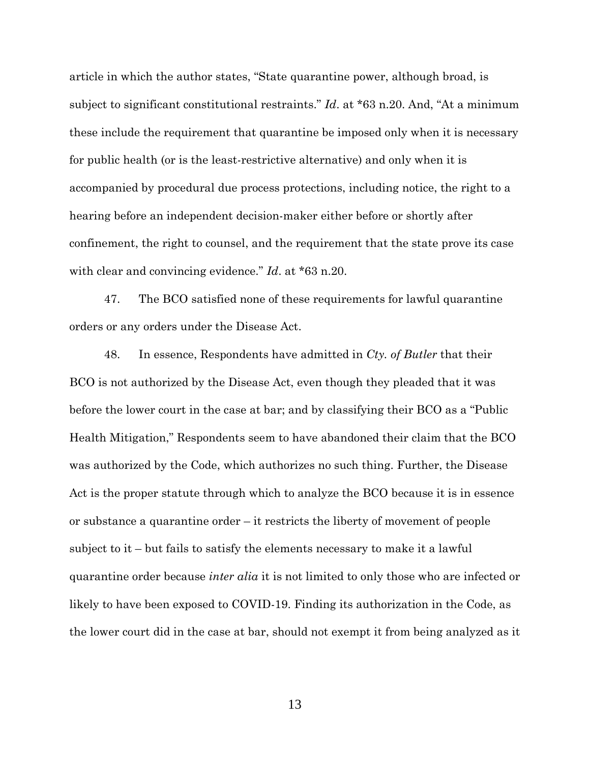article in which the author states, "State quarantine power, although broad, is subject to significant constitutional restraints." *Id*. at \*63 n.20. And, "At a minimum these include the requirement that quarantine be imposed only when it is necessary for public health (or is the least-restrictive alternative) and only when it is accompanied by procedural due process protections, including notice, the right to a hearing before an independent decision-maker either before or shortly after confinement, the right to counsel, and the requirement that the state prove its case with clear and convincing evidence." *Id*. at \*63 n.20.

47. The BCO satisfied none of these requirements for lawful quarantine orders or any orders under the Disease Act.

48. In essence, Respondents have admitted in *Cty. of Butler* that their BCO is not authorized by the Disease Act, even though they pleaded that it was before the lower court in the case at bar; and by classifying their BCO as a "Public Health Mitigation," Respondents seem to have abandoned their claim that the BCO was authorized by the Code, which authorizes no such thing. Further, the Disease Act is the proper statute through which to analyze the BCO because it is in essence or substance a quarantine order – it restricts the liberty of movement of people subject to it – but fails to satisfy the elements necessary to make it a lawful quarantine order because *inter alia* it is not limited to only those who are infected or likely to have been exposed to COVID-19. Finding its authorization in the Code, as the lower court did in the case at bar, should not exempt it from being analyzed as it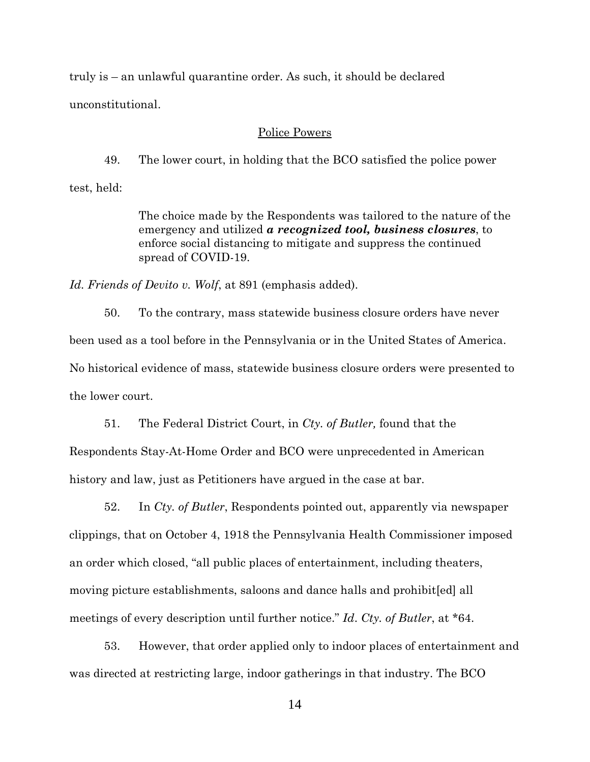truly is – an unlawful quarantine order. As such, it should be declared unconstitutional.

#### Police Powers

49. The lower court, in holding that the BCO satisfied the police power

test, held:

The choice made by the Respondents was tailored to the nature of the emergency and utilized *a recognized tool, business closures*, to enforce social distancing to mitigate and suppress the continued spread of COVID-19.

*Id. Friends of Devito v. Wolf*, at 891 (emphasis added).

50. To the contrary, mass statewide business closure orders have never been used as a tool before in the Pennsylvania or in the United States of America. No historical evidence of mass, statewide business closure orders were presented to the lower court.

51. The Federal District Court, in *Cty. of Butler,* found that the Respondents Stay-At-Home Order and BCO were unprecedented in American history and law, just as Petitioners have argued in the case at bar.

52. In *Cty. of Butler*, Respondents pointed out, apparently via newspaper clippings, that on October 4, 1918 the Pennsylvania Health Commissioner imposed an order which closed, "all public places of entertainment, including theaters, moving picture establishments, saloons and dance halls and prohibit[ed] all meetings of every description until further notice." *Id*. *Cty. of Butler*, at \*64.

53. However, that order applied only to indoor places of entertainment and was directed at restricting large, indoor gatherings in that industry. The BCO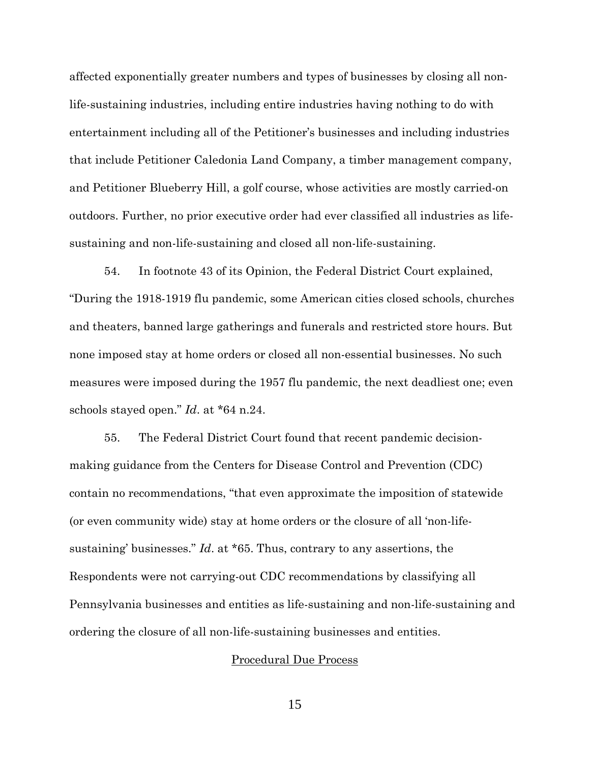affected exponentially greater numbers and types of businesses by closing all nonlife-sustaining industries, including entire industries having nothing to do with entertainment including all of the Petitioner's businesses and including industries that include Petitioner Caledonia Land Company, a timber management company, and Petitioner Blueberry Hill, a golf course, whose activities are mostly carried-on outdoors. Further, no prior executive order had ever classified all industries as lifesustaining and non-life-sustaining and closed all non-life-sustaining.

54. In footnote 43 of its Opinion, the Federal District Court explained, "During the 1918-1919 flu pandemic, some American cities closed schools, churches and theaters, banned large gatherings and funerals and restricted store hours. But none imposed stay at home orders or closed all non-essential businesses. No such measures were imposed during the 1957 flu pandemic, the next deadliest one; even schools stayed open." *Id*. at \*64 n.24.

55. The Federal District Court found that recent pandemic decisionmaking guidance from the Centers for Disease Control and Prevention (CDC) contain no recommendations, "that even approximate the imposition of statewide (or even community wide) stay at home orders or the closure of all 'non-lifesustaining' businesses." *Id*. at \*65. Thus, contrary to any assertions, the Respondents were not carrying-out CDC recommendations by classifying all Pennsylvania businesses and entities as life-sustaining and non-life-sustaining and ordering the closure of all non-life-sustaining businesses and entities.

#### Procedural Due Process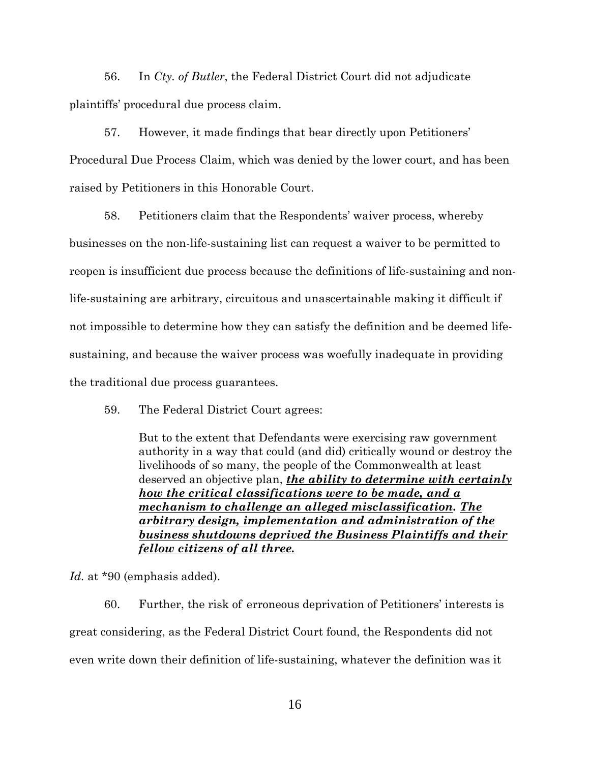56. In *Cty. of Butler*, the Federal District Court did not adjudicate plaintiffs' procedural due process claim.

57. However, it made findings that bear directly upon Petitioners' Procedural Due Process Claim, which was denied by the lower court, and has been raised by Petitioners in this Honorable Court.

58. Petitioners claim that the Respondents' waiver process, whereby businesses on the non-life-sustaining list can request a waiver to be permitted to reopen is insufficient due process because the definitions of life-sustaining and nonlife-sustaining are arbitrary, circuitous and unascertainable making it difficult if not impossible to determine how they can satisfy the definition and be deemed lifesustaining, and because the waiver process was woefully inadequate in providing the traditional due process guarantees.

59. The Federal District Court agrees:

But to the extent that Defendants were exercising raw government authority in a way that could (and did) critically wound or destroy the livelihoods of so many, the people of the Commonwealth at least deserved an objective plan, *the ability to determine with certainly how the critical classifications were to be made, and a mechanism to challenge an alleged misclassification. The arbitrary design, implementation and administration of the business shutdowns deprived the Business Plaintiffs and their fellow citizens of all three.* 

*Id.* at \*90 (emphasis added).

60. Further, the risk of erroneous deprivation of Petitioners' interests is great considering, as the Federal District Court found, the Respondents did not even write down their definition of life-sustaining, whatever the definition was it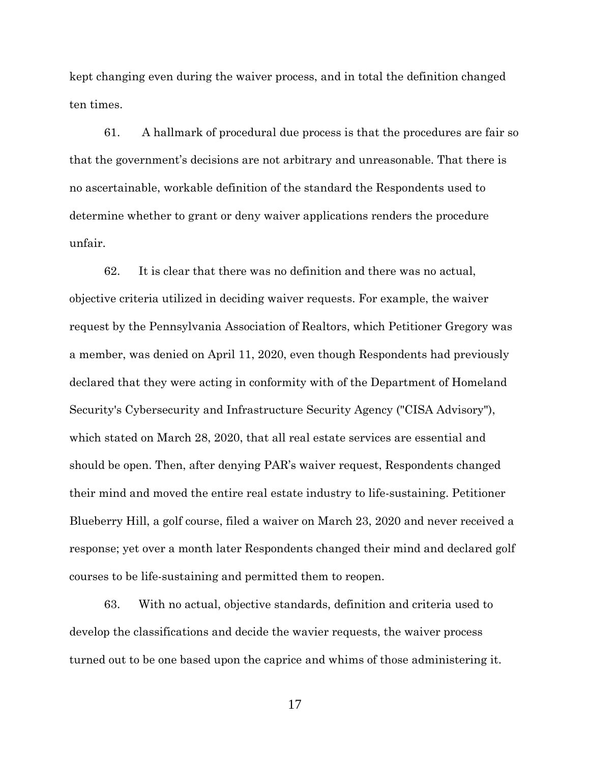kept changing even during the waiver process, and in total the definition changed ten times.

61. A hallmark of procedural due process is that the procedures are fair so that the government's decisions are not arbitrary and unreasonable. That there is no ascertainable, workable definition of the standard the Respondents used to determine whether to grant or deny waiver applications renders the procedure unfair.

62. It is clear that there was no definition and there was no actual, objective criteria utilized in deciding waiver requests. For example, the waiver request by the Pennsylvania Association of Realtors, which Petitioner Gregory was a member, was denied on April 11, 2020, even though Respondents had previously declared that they were acting in conformity with of the Department of Homeland Security's Cybersecurity and Infrastructure Security Agency ("CISA Advisory"), which stated on March 28, 2020, that all real estate services are essential and should be open. Then, after denying PAR's waiver request, Respondents changed their mind and moved the entire real estate industry to life-sustaining. Petitioner Blueberry Hill, a golf course, filed a waiver on March 23, 2020 and never received a response; yet over a month later Respondents changed their mind and declared golf courses to be life-sustaining and permitted them to reopen.

63. With no actual, objective standards, definition and criteria used to develop the classifications and decide the wavier requests, the waiver process turned out to be one based upon the caprice and whims of those administering it.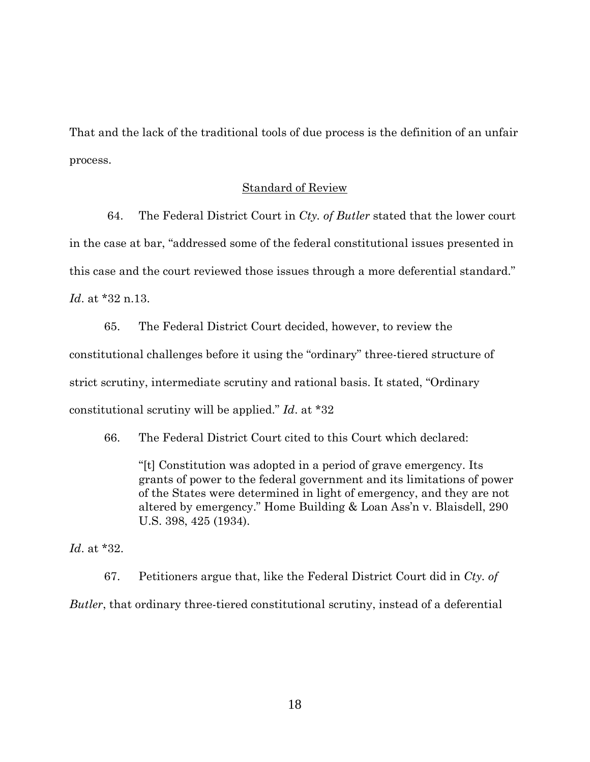That and the lack of the traditional tools of due process is the definition of an unfair process.

#### Standard of Review

 64. The Federal District Court in *Cty. of Butler* stated that the lower court in the case at bar, "addressed some of the federal constitutional issues presented in this case and the court reviewed those issues through a more deferential standard." *Id*. at \*32 n.13.

65. The Federal District Court decided, however, to review the constitutional challenges before it using the "ordinary" three-tiered structure of strict scrutiny, intermediate scrutiny and rational basis. It stated, "Ordinary constitutional scrutiny will be applied." *Id*. at \*32

66. The Federal District Court cited to this Court which declared:

"[t] Constitution was adopted in a period of grave emergency. Its grants of power to the federal government and its limitations of power of the States were determined in light of emergency, and they are not altered by emergency." Home Building & Loan Ass'n v. Blaisdell, 290 U.S. 398, 425 (1934).

*Id*. at \*32.

67. Petitioners argue that, like the Federal District Court did in *Cty. of Butler*, that ordinary three-tiered constitutional scrutiny, instead of a deferential